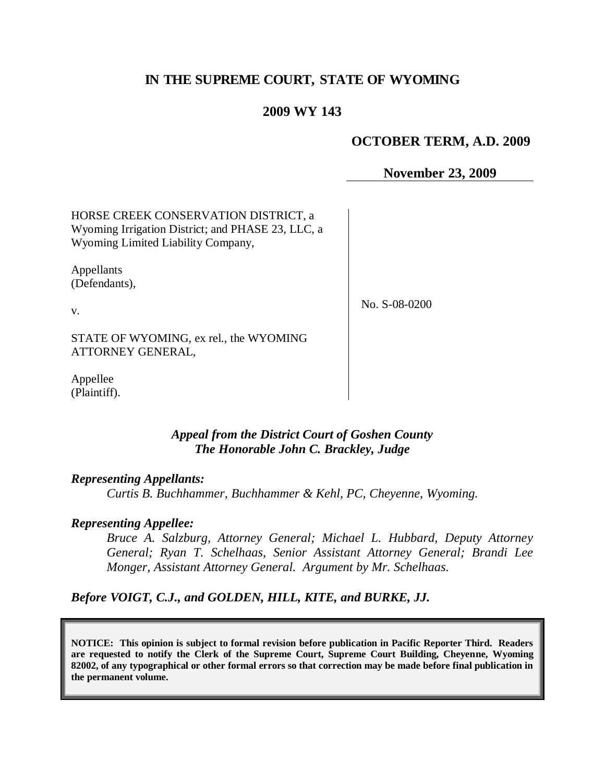# **IN THE SUPREME COURT, STATE OF WYOMING**

### **2009 WY 143**

#### **OCTOBER TERM, A.D. 2009**

**November 23, 2009**

HORSE CREEK CONSERVATION DISTRICT, a Wyoming Irrigation District; and PHASE 23, LLC, a Wyoming Limited Liability Company,

Appellants (Defendants),

v.

No. S-08-0200

STATE OF WYOMING, ex rel., the WYOMING ATTORNEY GENERAL,

Appellee (Plaintiff).

#### *Appeal from the District Court of Goshen County The Honorable John C. Brackley, Judge*

#### *Representing Appellants:*

*Curtis B. Buchhammer, Buchhammer & Kehl, PC, Cheyenne, Wyoming.*

#### *Representing Appellee:*

*Bruce A. Salzburg, Attorney General; Michael L. Hubbard, Deputy Attorney General; Ryan T. Schelhaas, Senior Assistant Attorney General; Brandi Lee Monger, Assistant Attorney General. Argument by Mr. Schelhaas.*

*Before VOIGT, C.J., and GOLDEN, HILL, KITE, and BURKE, JJ.*

**NOTICE: This opinion is subject to formal revision before publication in Pacific Reporter Third. Readers are requested to notify the Clerk of the Supreme Court, Supreme Court Building, Cheyenne, Wyoming 82002, of any typographical or other formal errors so that correction may be made before final publication in the permanent volume.**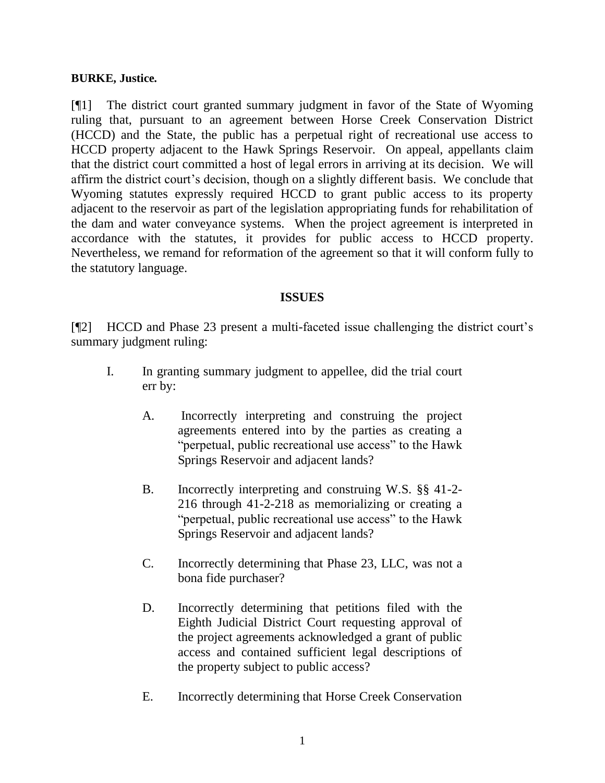#### **BURKE, Justice.**

[¶1] The district court granted summary judgment in favor of the State of Wyoming ruling that, pursuant to an agreement between Horse Creek Conservation District (HCCD) and the State, the public has a perpetual right of recreational use access to HCCD property adjacent to the Hawk Springs Reservoir. On appeal, appellants claim that the district court committed a host of legal errors in arriving at its decision. We will affirm the district court's decision, though on a slightly different basis. We conclude that Wyoming statutes expressly required HCCD to grant public access to its property adjacent to the reservoir as part of the legislation appropriating funds for rehabilitation of the dam and water conveyance systems. When the project agreement is interpreted in accordance with the statutes, it provides for public access to HCCD property. Nevertheless, we remand for reformation of the agreement so that it will conform fully to the statutory language.

### **ISSUES**

[¶2] HCCD and Phase 23 present a multi-faceted issue challenging the district court's summary judgment ruling:

- I. In granting summary judgment to appellee, did the trial court err by:
	- A. Incorrectly interpreting and construing the project agreements entered into by the parties as creating a "perpetual, public recreational use access" to the Hawk Springs Reservoir and adjacent lands?
	- B. Incorrectly interpreting and construing W.S. §§ 41-2- 216 through 41-2-218 as memorializing or creating a "perpetual, public recreational use access" to the Hawk Springs Reservoir and adjacent lands?
	- C. Incorrectly determining that Phase 23, LLC, was not a bona fide purchaser?
	- D. Incorrectly determining that petitions filed with the Eighth Judicial District Court requesting approval of the project agreements acknowledged a grant of public access and contained sufficient legal descriptions of the property subject to public access?
	- E. Incorrectly determining that Horse Creek Conservation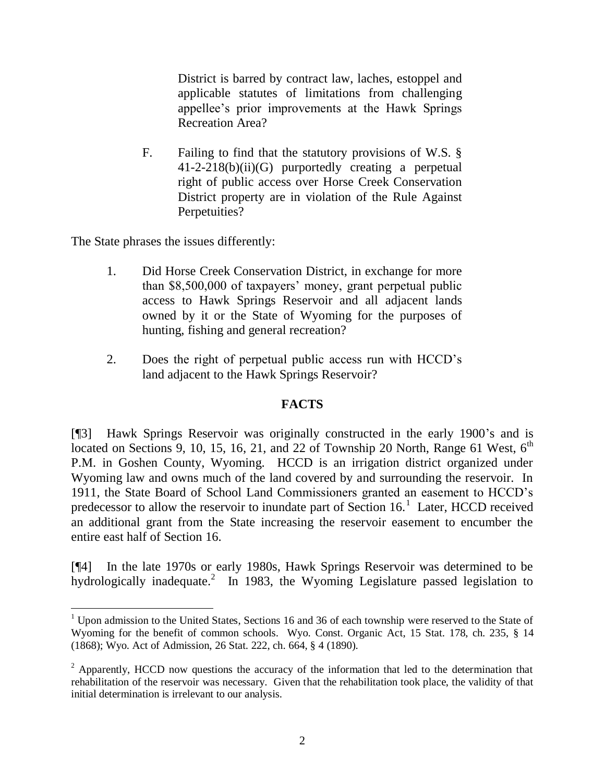District is barred by contract law, laches, estoppel and applicable statutes of limitations from challenging appellee's prior improvements at the Hawk Springs Recreation Area?

F. Failing to find that the statutory provisions of W.S. § 41-2-218(b)(ii)(G) purportedly creating a perpetual right of public access over Horse Creek Conservation District property are in violation of the Rule Against Perpetuities?

The State phrases the issues differently:

 $\overline{a}$ 

- 1. Did Horse Creek Conservation District, in exchange for more than \$8,500,000 of taxpayers' money, grant perpetual public access to Hawk Springs Reservoir and all adjacent lands owned by it or the State of Wyoming for the purposes of hunting, fishing and general recreation?
- 2. Does the right of perpetual public access run with HCCD's land adjacent to the Hawk Springs Reservoir?

#### **FACTS**

[¶3] Hawk Springs Reservoir was originally constructed in the early 1900's and is located on Sections 9, 10, 15, 16, 21, and 22 of Township 20 North, Range 61 West,  $6<sup>th</sup>$ P.M. in Goshen County, Wyoming. HCCD is an irrigation district organized under Wyoming law and owns much of the land covered by and surrounding the reservoir. In 1911, the State Board of School Land Commissioners granted an easement to HCCD's predecessor to allow the reservoir to inundate part of Section  $16<sup>1</sup>$  Later, HCCD received an additional grant from the State increasing the reservoir easement to encumber the entire east half of Section 16.

[¶4] In the late 1970s or early 1980s, Hawk Springs Reservoir was determined to be hydrologically inadequate.<sup>2</sup> In 1983, the Wyoming Legislature passed legislation to

 $1$  Upon admission to the United States, Sections 16 and 36 of each township were reserved to the State of Wyoming for the benefit of common schools. Wyo. Const. Organic Act, 15 Stat. 178, ch. 235, § 14 (1868); Wyo. Act of Admission, 26 Stat. 222, ch. 664, § 4 (1890).

 $2$  Apparently, HCCD now questions the accuracy of the information that led to the determination that rehabilitation of the reservoir was necessary. Given that the rehabilitation took place, the validity of that initial determination is irrelevant to our analysis.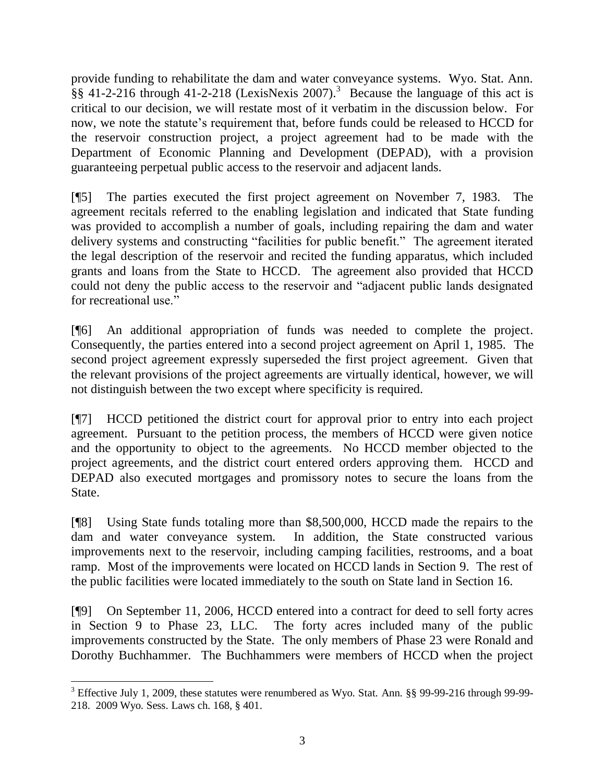provide funding to rehabilitate the dam and water conveyance systems. Wyo. Stat. Ann.  $\S$ § 41-2-216 through 41-2-218 (LexisNexis 2007).<sup>3</sup> Because the language of this act is critical to our decision, we will restate most of it verbatim in the discussion below. For now, we note the statute's requirement that, before funds could be released to HCCD for the reservoir construction project, a project agreement had to be made with the Department of Economic Planning and Development (DEPAD), with a provision guaranteeing perpetual public access to the reservoir and adjacent lands.

[¶5] The parties executed the first project agreement on November 7, 1983. The agreement recitals referred to the enabling legislation and indicated that State funding was provided to accomplish a number of goals, including repairing the dam and water delivery systems and constructing "facilities for public benefit." The agreement iterated the legal description of the reservoir and recited the funding apparatus, which included grants and loans from the State to HCCD. The agreement also provided that HCCD could not deny the public access to the reservoir and "adjacent public lands designated for recreational use."

[¶6] An additional appropriation of funds was needed to complete the project. Consequently, the parties entered into a second project agreement on April 1, 1985. The second project agreement expressly superseded the first project agreement. Given that the relevant provisions of the project agreements are virtually identical, however, we will not distinguish between the two except where specificity is required.

[¶7] HCCD petitioned the district court for approval prior to entry into each project agreement. Pursuant to the petition process, the members of HCCD were given notice and the opportunity to object to the agreements. No HCCD member objected to the project agreements, and the district court entered orders approving them. HCCD and DEPAD also executed mortgages and promissory notes to secure the loans from the State.

[¶8] Using State funds totaling more than \$8,500,000, HCCD made the repairs to the dam and water conveyance system. In addition, the State constructed various improvements next to the reservoir, including camping facilities, restrooms, and a boat ramp. Most of the improvements were located on HCCD lands in Section 9. The rest of the public facilities were located immediately to the south on State land in Section 16.

[¶9] On September 11, 2006, HCCD entered into a contract for deed to sell forty acres in Section 9 to Phase 23, LLC. The forty acres included many of the public improvements constructed by the State. The only members of Phase 23 were Ronald and Dorothy Buchhammer. The Buchhammers were members of HCCD when the project

<sup>&</sup>lt;sup>3</sup> Effective July 1, 2009, these statutes were renumbered as Wyo. Stat. Ann. §§ 99-99-216 through 99-99-218. 2009 Wyo. Sess. Laws ch. 168, § 401.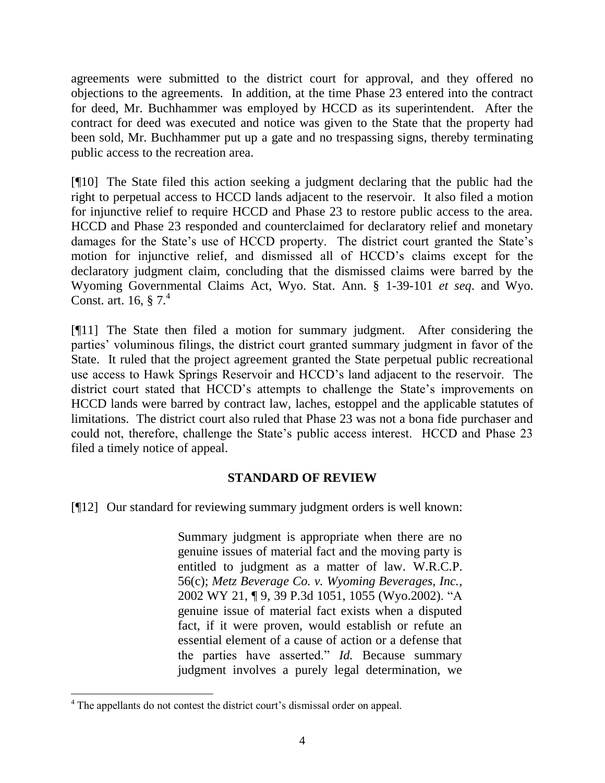agreements were submitted to the district court for approval, and they offered no objections to the agreements. In addition, at the time Phase 23 entered into the contract for deed, Mr. Buchhammer was employed by HCCD as its superintendent. After the contract for deed was executed and notice was given to the State that the property had been sold, Mr. Buchhammer put up a gate and no trespassing signs, thereby terminating public access to the recreation area.

[¶10] The State filed this action seeking a judgment declaring that the public had the right to perpetual access to HCCD lands adjacent to the reservoir. It also filed a motion for injunctive relief to require HCCD and Phase 23 to restore public access to the area. HCCD and Phase 23 responded and counterclaimed for declaratory relief and monetary damages for the State's use of HCCD property. The district court granted the State's motion for injunctive relief, and dismissed all of HCCD's claims except for the declaratory judgment claim, concluding that the dismissed claims were barred by the Wyoming Governmental Claims Act, Wyo. Stat. Ann. § 1-39-101 *et seq*. and Wyo. Const. art. 16,  $§$  7.<sup>4</sup>

[¶11] The State then filed a motion for summary judgment. After considering the parties' voluminous filings, the district court granted summary judgment in favor of the State. It ruled that the project agreement granted the State perpetual public recreational use access to Hawk Springs Reservoir and HCCD's land adjacent to the reservoir. The district court stated that HCCD's attempts to challenge the State's improvements on HCCD lands were barred by contract law, laches, estoppel and the applicable statutes of limitations. The district court also ruled that Phase 23 was not a bona fide purchaser and could not, therefore, challenge the State's public access interest. HCCD and Phase 23 filed a timely notice of appeal.

## **STANDARD OF REVIEW**

[¶12] Our standard for reviewing summary judgment orders is well known:

Summary judgment is appropriate when there are no genuine issues of material fact and the moving party is entitled to judgment as a matter of law. [W.R.C.P.](http://www.westlaw.com/Find/Default.wl?rs=dfa1.0&vr=2.0&DB=1006377&DocName=WYRRCPR56&FindType=L)  [56\(c\);](http://www.westlaw.com/Find/Default.wl?rs=dfa1.0&vr=2.0&DB=1006377&DocName=WYRRCPR56&FindType=L) *[Metz Beverage Co. v. Wyoming Beverages, Inc.,](http://www.westlaw.com/Find/Default.wl?rs=dfa1.0&vr=2.0&DB=4645&FindType=Y&ReferencePositionType=S&SerialNum=2002115339&ReferencePosition=1055)* 2002 WY 21, ¶ 9, 39 P.3d 1051, 1055 (Wyo.2002). "A genuine issue of material fact exists when a disputed fact, if it were proven, would establish or refute an essential element of a cause of action or a defense that the parties have asserted." *[Id.](http://www.westlaw.com/Find/Default.wl?rs=dfa1.0&vr=2.0&FindType=Y&SerialNum=2002115339)* Because summary judgment involves a purely legal determination, we

 $\overline{a}$  $4$ <sup>4</sup> The appellants do not contest the district court's dismissal order on appeal.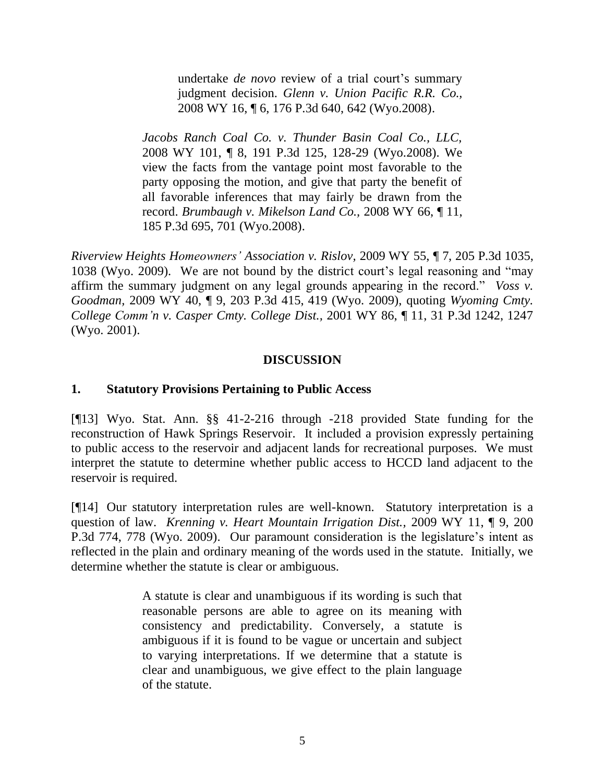undertake *de novo* review of a trial court's summary judgment decision. *[Glenn v. Union Pacific R.R. Co.,](http://www.westlaw.com/Find/Default.wl?rs=dfa1.0&vr=2.0&DB=4645&FindType=Y&ReferencePositionType=S&SerialNum=2015174201&ReferencePosition=642)* 2008 WY 16, ¶ 6, 176 P.3d 640, 642 (Wyo.2008).

*Jacobs Ranch Coal [Co. v. Thunder Basin Coal Co., LLC,](http://www.westlaw.com/Find/Default.wl?rs=dfa1.0&vr=2.0&DB=4645&FindType=Y&ReferencePositionType=S&SerialNum=2016857417&ReferencePosition=128)* 2008 WY 101, ¶ 8, 191 P.3d 125, 128-29 (Wyo.2008). We view the facts from the vantage point most favorable to the party opposing the motion, and give that party the benefit of all favorable inferences that may fairly be drawn from the record. *[Brumbaugh v. Mikelson Land Co.,](http://www.westlaw.com/Find/Default.wl?rs=dfa1.0&vr=2.0&DB=4645&FindType=Y&ReferencePositionType=S&SerialNum=2016292965&ReferencePosition=701)* [2008 WY 66, ¶ 11,](http://www.westlaw.com/Find/Default.wl?rs=dfa1.0&vr=2.0&DB=4645&FindType=Y&ReferencePositionType=S&SerialNum=2016292965&ReferencePosition=701)  185 P.3d 695, 701 (Wyo.2008).

*Riverview Heights Homeowners' Association v. Rislov,* 2009 WY 55, ¶ 7, 205 P.3d 1035, 1038 (Wyo. 2009). We are not bound by the district court's legal reasoning and "may affirm the summary judgment on any legal grounds appearing in the record." *Voss v. Goodman,* 2009 WY 40, ¶ 9, 203 P.3d 415, 419 (Wyo. 2009), quoting *[Wyoming](http://www.westlaw.com/Find/Default.wl?rs=dfa1.0&vr=2.0&DB=4645&FindType=Y&ReferencePositionType=S&SerialNum=2001784540&ReferencePosition=1247) Cmty. [College Comm'n v. Casper Cmty. College Dist.,](http://www.westlaw.com/Find/Default.wl?rs=dfa1.0&vr=2.0&DB=4645&FindType=Y&ReferencePositionType=S&SerialNum=2001784540&ReferencePosition=1247)* [2001 WY 86, ¶ 11, 31 P.3d 1242, 1247](http://www.westlaw.com/Find/Default.wl?rs=dfa1.0&vr=2.0&DB=4645&FindType=Y&ReferencePositionType=S&SerialNum=2001784540&ReferencePosition=1247)  (Wyo. 2001).

### **DISCUSSION**

### **1. Statutory Provisions Pertaining to Public Access**

[¶13] Wyo. Stat. Ann. §§ 41-2-216 through -218 provided State funding for the reconstruction of Hawk Springs Reservoir. It included a provision expressly pertaining to public access to the reservoir and adjacent lands for recreational purposes. We must interpret the statute to determine whether public access to HCCD land adjacent to the reservoir is required.

[¶14] Our statutory interpretation rules are well-known. Statutory interpretation is a question of law. *Krenning v. Heart Mountain Irrigation Dist.,* 2009 WY 11, ¶ 9, 200 P.3d 774, 778 (Wyo. 2009). Our paramount consideration is the legislature's intent as reflected in the plain and ordinary meaning of the words used in the statute. Initially, we determine whether the statute is clear or ambiguous.

> A statute is clear and unambiguous if its wording is such that reasonable persons are able to agree on its meaning with consistency and predictability. Conversely, a statute is ambiguous if it is found to be vague or uncertain and subject to varying interpretations. If we determine that a statute is clear and unambiguous, we give effect to the plain language of the statute.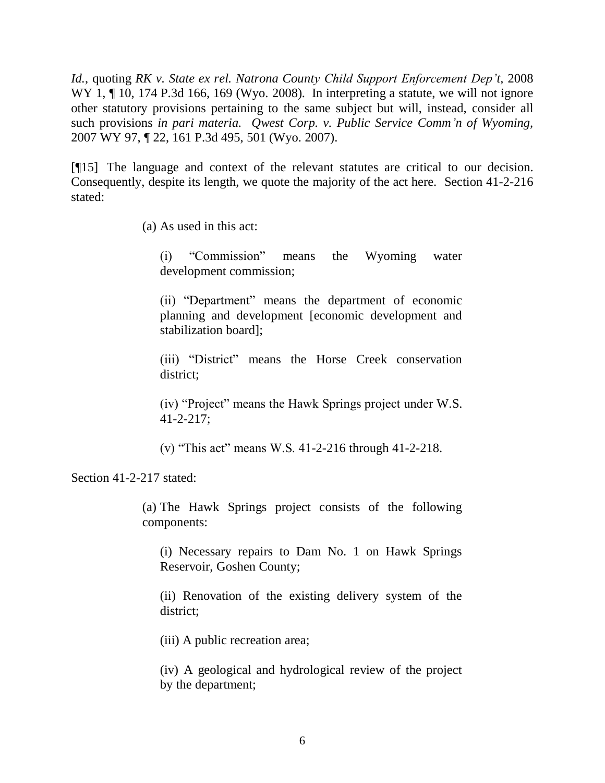*Id.*, quoting *[RK v. State ex rel. Natrona County Child Support Enforcement Dep't,](http://www.westlaw.com/Find/Default.wl?rs=dfa1.0&vr=2.0&DB=4645&FindType=Y&ReferencePositionType=S&SerialNum=2014629140&ReferencePosition=169)* [2008](http://www.westlaw.com/Find/Default.wl?rs=dfa1.0&vr=2.0&DB=4645&FindType=Y&ReferencePositionType=S&SerialNum=2014629140&ReferencePosition=169)  WY 1,  $\P$  10, 174 P.3d 166, 169 (Wyo. 2008). In interpreting a statute, we will not ignore other statutory provisions pertaining to the same subject but will, instead, consider all such provisions *in pari materia. Qwest Corp. v. Public Service Comm'n of Wyoming,*  2007 WY 97, ¶ 22, 161 P.3d 495, 501 (Wyo. 2007).

[¶15] The language and context of the relevant statutes are critical to our decision. Consequently, despite its length, we quote the majority of the act here. Section 41-2-216 stated:

(a) As used in this act:

(i) "Commission" means the Wyoming water development commission;

(ii) "Department" means the department of economic planning and development [economic development and stabilization board];

(iii) "District" means the Horse Creek conservation district;

(iv) "Project" means the Hawk Springs project under [W.S.](http://www.westlaw.com/Find/Default.wl?rs=dfa1.0&vr=2.0&DB=1000377&DocName=WYSTS41-2-217&FindType=L)  [41-2-217;](http://www.westlaw.com/Find/Default.wl?rs=dfa1.0&vr=2.0&DB=1000377&DocName=WYSTS41-2-217&FindType=L)

(v) "This act" means W.S. 41-2-216 through [41-2-218.](http://www.westlaw.com/Find/Default.wl?rs=dfa1.0&vr=2.0&DB=1000377&DocName=WYSTS41-2-218&FindType=L)

Section 41-2-217 stated:

(a) The Hawk Springs project consists of the following components:

(i) Necessary repairs to Dam No. 1 on Hawk Springs Reservoir, Goshen County;

(ii) Renovation of the existing delivery system of the district;

(iii) A public recreation area;

(iv) A geological and hydrological review of the project by the department;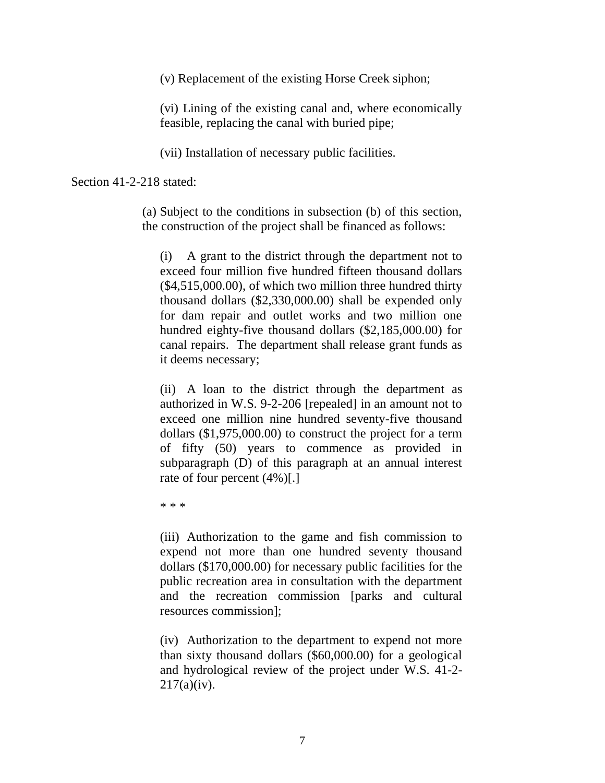(v) Replacement of the existing Horse Creek siphon;

(vi) Lining of the existing canal and, where economically feasible, replacing the canal with buried pipe;

(vii) Installation of necessary public facilities.

Section 41-2-218 stated:

(a) Subject to the conditions in subsection (b) of this section, the construction of the project shall be financed as follows:

(i) A grant to the district through the department not to exceed four million five hundred fifteen thousand dollars (\$4,515,000.00), of which two million three hundred thirty thousand dollars (\$2,330,000.00) shall be expended only for dam repair and outlet works and two million one hundred eighty-five thousand dollars (\$2,185,000.00) for canal repairs. The department shall release grant funds as it deems necessary;

(ii) A loan to the district through the department as authorized in [W.S. 9-2-206](http://www.westlaw.com/Find/Default.wl?rs=dfa1.0&vr=2.0&DB=1000377&DocName=WYSTS9-2-206&FindType=L) [repealed] in an amount not to exceed one million nine hundred seventy-five thousand dollars (\$1,975,000.00) to construct the project for a term of fifty (50) years to commence as provided in subparagraph (D) of this paragraph at an annual interest rate of four percent (4%)[.]

\* \* \*

(iii) Authorization to the game and fish commission to expend not more than one hundred seventy thousand dollars (\$170,000.00) for necessary public facilities for the public recreation area in consultation with the department and the recreation commission [parks and cultural resources commission];

(iv) Authorization to the department to expend not more than sixty thousand dollars (\$60,000.00) for a geological and hydrological review of the project under [W.S. 41-2-](http://www.westlaw.com/Find/Default.wl?rs=dfa1.0&vr=2.0&DB=1000377&DocName=WYSTS41-2-217&FindType=L&ReferencePositionType=T&ReferencePosition=SP_e9f20000d96c3)  $217(a)(iv)$ .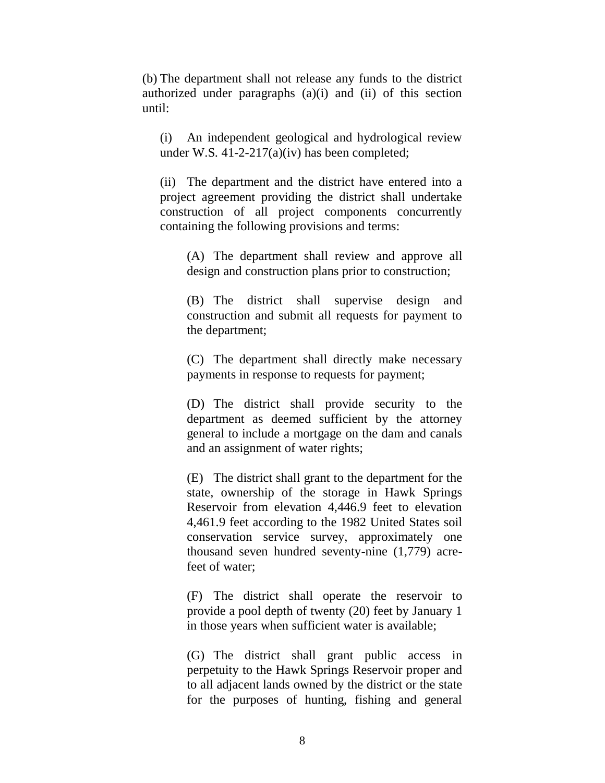(b) The department shall not release any funds to the district authorized under paragraphs (a)(i) and (ii) of this section until:

(i) An independent geological and hydrological review under [W.S. 41-2-217\(a\)\(iv\)](http://www.westlaw.com/Find/Default.wl?rs=dfa1.0&vr=2.0&DB=1000377&DocName=WYSTS41-2-217&FindType=L&ReferencePositionType=T&ReferencePosition=SP_e9f20000d96c3) has been completed;

(ii) The department and the district have entered into a project agreement providing the district shall undertake construction of all project components concurrently containing the following provisions and terms:

(A) The department shall review and approve all design and construction plans prior to construction;

(B) The district shall supervise design and construction and submit all requests for payment to the department;

(C) The department shall directly make necessary payments in response to requests for payment;

(D) The district shall provide security to the department as deemed sufficient by the attorney general to include a mortgage on the dam and canals and an assignment of water rights;

(E) The district shall grant to the department for the state, ownership of the storage in Hawk Springs Reservoir from elevation 4,446.9 feet to elevation 4,461.9 feet according to the 1982 United States soil conservation service survey, approximately one thousand seven hundred seventy-nine (1,779) acrefeet of water;

(F) The district shall operate the reservoir to provide a pool depth of twenty (20) feet by January 1 in those years when sufficient water is available;

(G) The district shall grant public access in perpetuity to the Hawk Springs Reservoir proper and to all adjacent lands owned by the district or the state for the purposes of hunting, fishing and general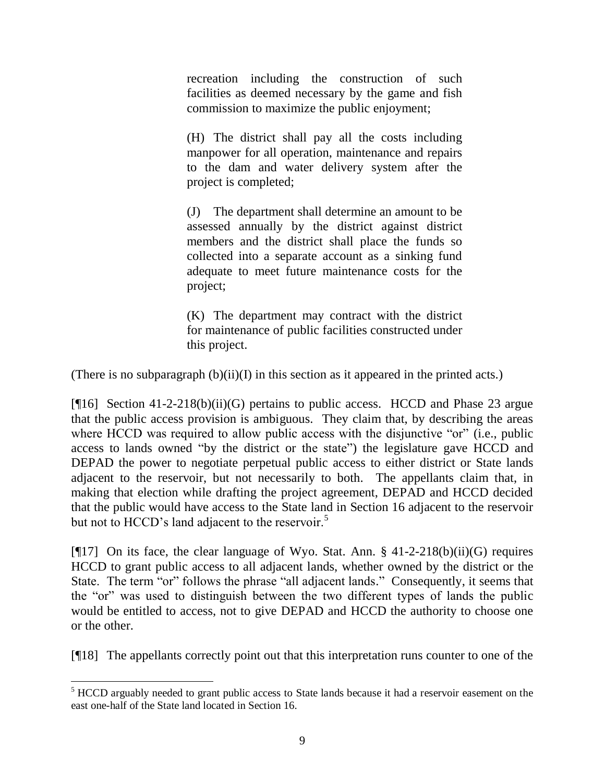recreation including the construction of such facilities as deemed necessary by the game and fish commission to maximize the public enjoyment;

(H) The district shall pay all the costs including manpower for all operation, maintenance and repairs to the dam and water delivery system after the project is completed;

(J) The department shall determine an amount to be assessed annually by the district against district members and the district shall place the funds so collected into a separate account as a sinking fund adequate to meet future maintenance costs for the project;

(K) The department may contract with the district for maintenance of public facilities constructed under this project.

(There is no subparagraph  $(b)(ii)(I)$  in this section as it appeared in the printed acts.)

[ $[16]$  Section 41-2-218(b)(ii)(G) pertains to public access. HCCD and Phase 23 argue that the public access provision is ambiguous. They claim that, by describing the areas where HCCD was required to allow public access with the disjunctive "or" (i.e., public access to lands owned "by the district or the state") the legislature gave HCCD and DEPAD the power to negotiate perpetual public access to either district or State lands adjacent to the reservoir, but not necessarily to both. The appellants claim that, in making that election while drafting the project agreement, DEPAD and HCCD decided that the public would have access to the State land in Section 16 adjacent to the reservoir but not to HCCD's land adjacent to the reservoir.<sup>5</sup>

[ $[17]$  On its face, the clear language of Wyo. Stat. Ann. § 41-2-218(b)(ii)(G) requires HCCD to grant public access to all adjacent lands, whether owned by the district or the State. The term "or" follows the phrase "all adjacent lands." Consequently, it seems that the "or" was used to distinguish between the two different types of lands the public would be entitled to access, not to give DEPAD and HCCD the authority to choose one or the other.

[¶18] The appellants correctly point out that this interpretation runs counter to one of the

<sup>&</sup>lt;sup>5</sup> HCCD arguably needed to grant public access to State lands because it had a reservoir easement on the east one-half of the State land located in Section 16.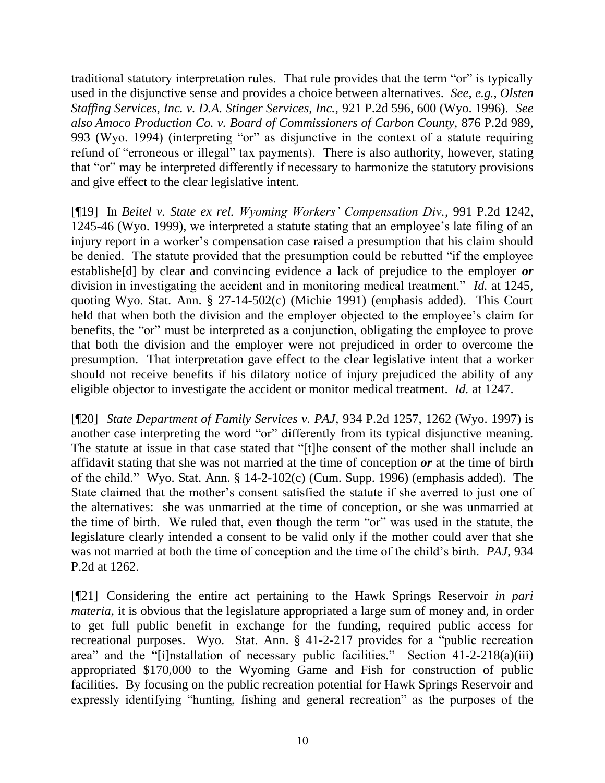traditional statutory interpretation rules. That rule provides that the term "or" is typically used in the disjunctive sense and provides a choice between alternatives. *See, e.g.*, *Olsten Staffing Services, Inc. v. D.A. Stinger Services, Inc.,* 921 P.2d 596, 600 (Wyo. 1996). *See also Amoco Production Co. v. Board of Commissioners of Carbon County,* 876 P.2d 989, 993 (Wyo. 1994) (interpreting "or" as disjunctive in the context of a statute requiring refund of "erroneous or illegal" tax payments). There is also authority, however, stating that "or" may be interpreted differently if necessary to harmonize the statutory provisions and give effect to the clear legislative intent.

[¶19] In *Beitel v. State ex rel. Wyoming Workers' Compensation Div.,* 991 P.2d 1242, 1245-46 (Wyo. 1999), we interpreted a statute stating that an employee's late filing of an injury report in a worker's compensation case raised a presumption that his claim should be denied. The statute provided that the presumption could be rebutted "if the employee establishe[d] by clear and convincing evidence a lack of prejudice to the employer *or* division in investigating the accident and in monitoring medical treatment." *Id.* at 1245*,*  quoting Wyo. Stat. Ann. § 27-14-502(c) (Michie 1991) (emphasis added). This Court held that when both the division and the employer objected to the employee's claim for benefits, the "or" must be interpreted as a conjunction, obligating the employee to prove that both the division and the employer were not prejudiced in order to overcome the presumption. That interpretation gave effect to the clear legislative intent that a worker should not receive benefits if his dilatory notice of injury prejudiced the ability of any eligible objector to investigate the accident or monitor medical treatment. *Id.* at 1247.

[¶20] *State Department of Family Services v. PAJ*, 934 P.2d 1257, 1262 (Wyo. 1997) is another case interpreting the word "or" differently from its typical disjunctive meaning. The statute at issue in that case stated that "[t]he consent of the mother shall include an affidavit stating that she was not married at the time of conception *or* at the time of birth of the child." Wyo. Stat. Ann. § 14-2-102(c) (Cum. Supp. 1996) (emphasis added). The State claimed that the mother's consent satisfied the statute if she averred to just one of the alternatives: she was unmarried at the time of conception, or she was unmarried at the time of birth. We ruled that, even though the term "or" was used in the statute, the legislature clearly intended a consent to be valid only if the mother could aver that she was not married at both the time of conception and the time of the child's birth. *PAJ,* 934 P.2d at 1262.

[¶21] Considering the entire act pertaining to the Hawk Springs Reservoir *in pari materia*, it is obvious that the legislature appropriated a large sum of money and, in order to get full public benefit in exchange for the funding, required public access for recreational purposes. Wyo. Stat. Ann. § 41-2-217 provides for a "public recreation area" and the "[i]nstallation of necessary public facilities." Section 41-2-218(a)(iii) appropriated \$170,000 to the Wyoming Game and Fish for construction of public facilities. By focusing on the public recreation potential for Hawk Springs Reservoir and expressly identifying "hunting, fishing and general recreation" as the purposes of the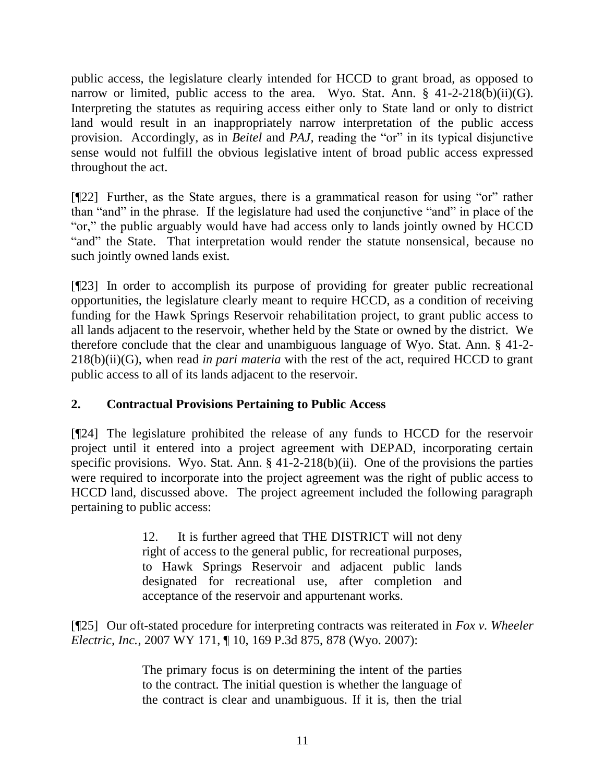public access, the legislature clearly intended for HCCD to grant broad, as opposed to narrow or limited, public access to the area. Wyo. Stat. Ann.  $\S$  41-2-218(b)(ii)(G). Interpreting the statutes as requiring access either only to State land or only to district land would result in an inappropriately narrow interpretation of the public access provision. Accordingly, as in *Beitel* and *PAJ,* reading the "or" in its typical disjunctive sense would not fulfill the obvious legislative intent of broad public access expressed throughout the act.

[¶22] Further, as the State argues, there is a grammatical reason for using "or" rather than "and" in the phrase. If the legislature had used the conjunctive "and" in place of the "or," the public arguably would have had access only to lands jointly owned by HCCD "and" the State. That interpretation would render the statute nonsensical, because no such jointly owned lands exist.

[¶23] In order to accomplish its purpose of providing for greater public recreational opportunities, the legislature clearly meant to require HCCD, as a condition of receiving funding for the Hawk Springs Reservoir rehabilitation project, to grant public access to all lands adjacent to the reservoir, whether held by the State or owned by the district. We therefore conclude that the clear and unambiguous language of Wyo. Stat. Ann. § 41-2- 218(b)(ii)(G), when read *in pari materia* with the rest of the act, required HCCD to grant public access to all of its lands adjacent to the reservoir.

# **2. Contractual Provisions Pertaining to Public Access**

[¶24] The legislature prohibited the release of any funds to HCCD for the reservoir project until it entered into a project agreement with DEPAD, incorporating certain specific provisions. Wyo. Stat. Ann. § 41-2-218(b)(ii). One of the provisions the parties were required to incorporate into the project agreement was the right of public access to HCCD land, discussed above. The project agreement included the following paragraph pertaining to public access:

> 12. It is further agreed that THE DISTRICT will not deny right of access to the general public, for recreational purposes, to Hawk Springs Reservoir and adjacent public lands designated for recreational use, after completion and acceptance of the reservoir and appurtenant works.

[¶25] Our oft-stated procedure for interpreting contracts was reiterated in *Fox v. Wheeler Electric, Inc.,* 2007 WY 171, ¶ 10, 169 P.3d 875, 878 (Wyo. 2007):

> The primary focus is on determining the intent of the parties to the contract. The initial question is whether the language of the contract is clear and unambiguous. If it is, then the trial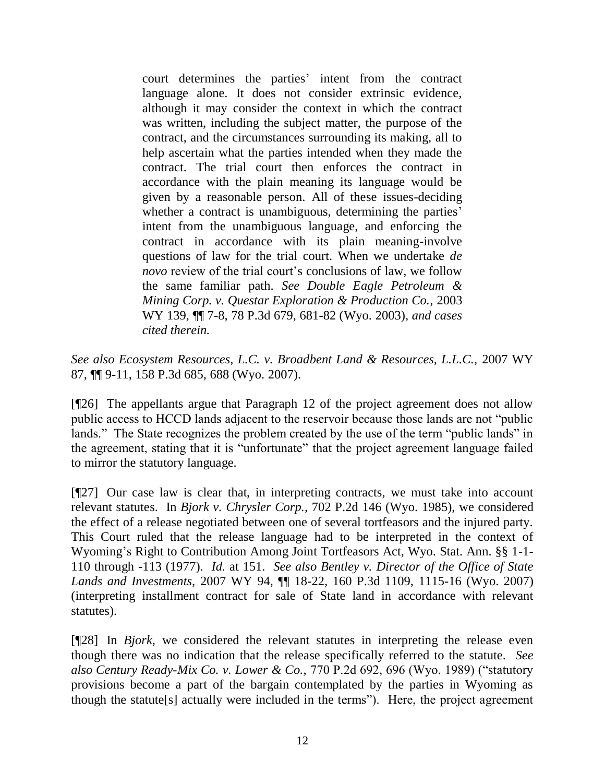court determines the parties' intent from the contract language alone. It does not consider extrinsic evidence, although it may consider the context in which the contract was written, including the subject matter, the purpose of the contract, and the circumstances surrounding its making, all to help ascertain what the parties intended when they made the contract. The trial court then enforces the contract in accordance with the plain meaning its language would be given by a reasonable person. All of these issues-deciding whether a contract is unambiguous, determining the parties' intent from the unambiguous language, and enforcing the contract in accordance with its plain meaning-involve questions of law for the trial court. When we undertake *de novo* review of the trial court's conclusions of law, we follow the same familiar path. *See [Double Eagle Petroleum &](http://www.westlaw.com/Find/Default.wl?rs=dfa1.0&vr=2.0&DB=4645&FindType=Y&ReferencePositionType=S&SerialNum=2003735681&ReferencePosition=681)  [Mining Corp. v. Questar Exploration & Production Co.,](http://www.westlaw.com/Find/Default.wl?rs=dfa1.0&vr=2.0&DB=4645&FindType=Y&ReferencePositionType=S&SerialNum=2003735681&ReferencePosition=681)* [2003](http://www.westlaw.com/Find/Default.wl?rs=dfa1.0&vr=2.0&DB=4645&FindType=Y&ReferencePositionType=S&SerialNum=2003735681&ReferencePosition=681)  WY 139, ¶¶ 7-8, 78 P.3d 679, 681-82 (Wyo. 2003), *and cases cited therein.*

*See also Ecosystem Resources, L.C. v. Broadbent Land & Resources, L.L.C.,* 2007 WY 87, ¶¶ 9-11, 158 P.3d 685, 688 (Wyo. 2007).

[¶26] The appellants argue that Paragraph 12 of the project agreement does not allow public access to HCCD lands adjacent to the reservoir because those lands are not "public lands." The State recognizes the problem created by the use of the term "public lands" in the agreement, stating that it is "unfortunate" that the project agreement language failed to mirror the statutory language.

[¶27] Our case law is clear that, in interpreting contracts, we must take into account relevant statutes. In *Bjork v. Chrysler Corp.,* 702 P.2d 146 (Wyo. 1985), we considered the effect of a release negotiated between one of several tortfeasors and the injured party. This Court ruled that the release language had to be interpreted in the context of Wyoming's Right to Contribution Among Joint Tortfeasors Act, Wyo. Stat. Ann. §§ 1-1- 110 through -113 (1977). *Id.* at 151. *See also Bentley v. Director of the Office of State Lands and Investments,* 2007 WY 94, ¶¶ 18-22, 160 P.3d 1109, 1115-16 (Wyo. 2007) (interpreting installment contract for sale of State land in accordance with relevant statutes).

[¶28] In *Bjork,* we considered the relevant statutes in interpreting the release even though there was no indication that the release specifically referred to the statute. *See also Century Ready-Mix Co. v. Lower & Co.,* 770 P.2d 692, 696 (Wyo. 1989) ("statutory provisions become a part of the bargain contemplated by the parties in Wyoming as though the statute[s] actually were included in the terms"). Here, the project agreement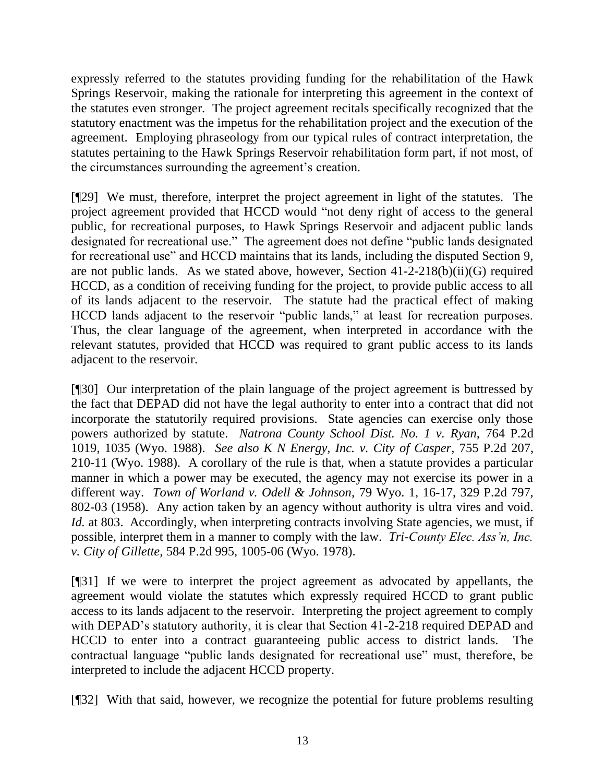expressly referred to the statutes providing funding for the rehabilitation of the Hawk Springs Reservoir, making the rationale for interpreting this agreement in the context of the statutes even stronger. The project agreement recitals specifically recognized that the statutory enactment was the impetus for the rehabilitation project and the execution of the agreement. Employing phraseology from our typical rules of contract interpretation, the statutes pertaining to the Hawk Springs Reservoir rehabilitation form part, if not most, of the circumstances surrounding the agreement's creation.

[¶29] We must, therefore, interpret the project agreement in light of the statutes. The project agreement provided that HCCD would "not deny right of access to the general public, for recreational purposes, to Hawk Springs Reservoir and adjacent public lands designated for recreational use." The agreement does not define "public lands designated for recreational use" and HCCD maintains that its lands, including the disputed Section 9, are not public lands. As we stated above, however, Section 41-2-218(b)(ii)(G) required HCCD, as a condition of receiving funding for the project, to provide public access to all of its lands adjacent to the reservoir. The statute had the practical effect of making HCCD lands adjacent to the reservoir "public lands," at least for recreation purposes. Thus, the clear language of the agreement, when interpreted in accordance with the relevant statutes, provided that HCCD was required to grant public access to its lands adjacent to the reservoir.

[¶30] Our interpretation of the plain language of the project agreement is buttressed by the fact that DEPAD did not have the legal authority to enter into a contract that did not incorporate the statutorily required provisions. State agencies can exercise only those powers authorized by statute. *Natrona County School Dist. No. 1 v. Ryan,* 764 P.2d 1019, 1035 (Wyo. 1988). *See also K N Energy, Inc. v. City of Casper,* 755 P.2d 207, 210-11 (Wyo. 1988). A corollary of the rule is that, when a statute provides a particular manner in which a power may be executed, the agency may not exercise its power in a different way. *Town of Worland v. Odell & Johnson,* 79 Wyo. 1, 16-17, 329 P.2d 797, 802-03 (1958). Any action taken by an agency without authority is ultra vires and void. *Id.* at 803. Accordingly, when interpreting contracts involving State agencies, we must, if possible, interpret them in a manner to comply with the law. *Tri-County Elec. Ass'n, Inc. v. City of Gillette,* 584 P.2d 995, 1005-06 (Wyo. 1978).

[¶31] If we were to interpret the project agreement as advocated by appellants, the agreement would violate the statutes which expressly required HCCD to grant public access to its lands adjacent to the reservoir. Interpreting the project agreement to comply with DEPAD's statutory authority, it is clear that Section 41-2-218 required DEPAD and HCCD to enter into a contract guaranteeing public access to district lands. The contractual language "public lands designated for recreational use" must, therefore, be interpreted to include the adjacent HCCD property.

[¶32] With that said, however, we recognize the potential for future problems resulting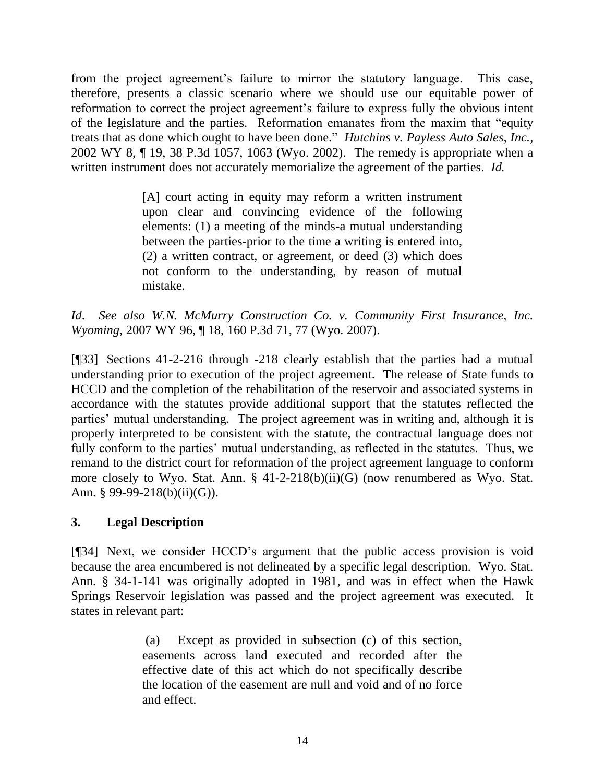from the project agreement's failure to mirror the statutory language. This case, therefore, presents a classic scenario where we should use our equitable power of reformation to correct the project agreement's failure to express fully the obvious intent of the legislature and the parties. Reformation emanates from the maxim that "equity treats that as done which ought to have been done." *[Hutchins v. Payless Auto Sales, Inc.,](http://www.westlaw.com/Find/Default.wl?rs=dfa1.0&vr=2.0&DB=4645&FindType=Y&ReferencePositionType=S&SerialNum=2002088149&ReferencePosition=1063)* 2002 WY 8, ¶ 19, 38 P.3d 1057, 1063 (Wyo. 2002). The remedy is appropriate when a written instrument does not accurately memorialize the agreement of the parties. *Id.* 

> [A] court acting in equity may reform a written instrument upon clear and convincing evidence of the following elements: (1) a meeting of the minds-a mutual understanding between the parties-prior to the time a writing is entered into, (2) a written contract, or agreement, or deed (3) which does not conform to the understanding, by reason of mutual mistake.

*Id*. *See also W.N. McMurry Construction Co. v. Community First Insurance, Inc. Wyoming*, 2007 WY 96, ¶ 18, 160 P.3d 71, 77 (Wyo. 2007).

[¶33] Sections 41-2-216 through -218 clearly establish that the parties had a mutual understanding prior to execution of the project agreement. The release of State funds to HCCD and the completion of the rehabilitation of the reservoir and associated systems in accordance with the statutes provide additional support that the statutes reflected the parties' mutual understanding. The project agreement was in writing and, although it is properly interpreted to be consistent with the statute, the contractual language does not fully conform to the parties' mutual understanding, as reflected in the statutes. Thus, we remand to the district court for reformation of the project agreement language to conform more closely to Wyo. Stat. Ann. § 41-2-218(b)(ii)(G) (now renumbered as Wyo. Stat. Ann. § 99-99-218(b)(ii)(G)).

## **3. Legal Description**

[¶34] Next, we consider HCCD's argument that the public access provision is void because the area encumbered is not delineated by a specific legal description. Wyo. Stat. Ann. § 34-1-141 was originally adopted in 1981, and was in effect when the Hawk Springs Reservoir legislation was passed and the project agreement was executed. It states in relevant part:

> (a) Except as provided in subsection (c) of this section, easements across land executed and recorded after the effective date of this act which do not specifically describe the location of the easement are null and void and of no force and effect.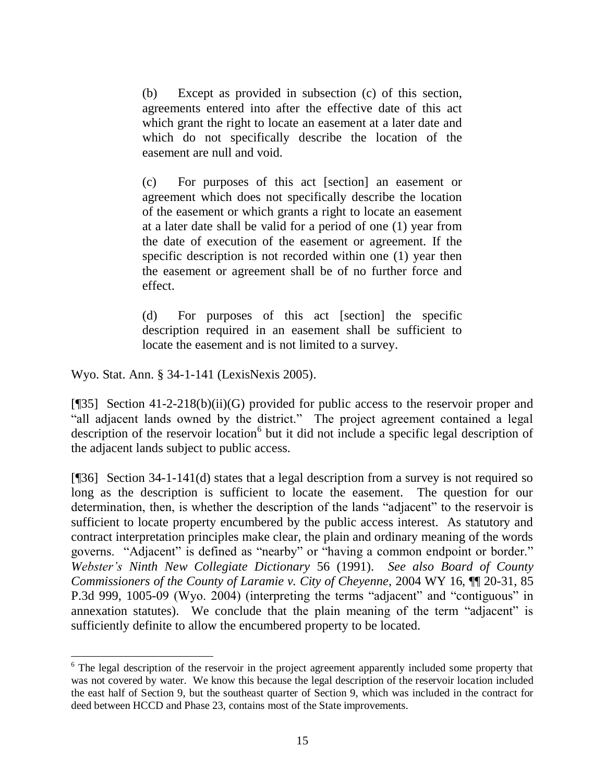(b) Except as provided in subsection (c) of this section, agreements entered into after the effective date of this act which grant the right to locate an easement at a later date and which do not specifically describe the location of the easement are null and void.

(c) For purposes of this act [section] an easement or agreement which does not specifically describe the location of the easement or which grants a right to locate an easement at a later date shall be valid for a period of one (1) year from the date of execution of the easement or agreement. If the specific description is not recorded within one (1) year then the easement or agreement shall be of no further force and effect.

(d) For purposes of this act [section] the specific description required in an easement shall be sufficient to locate the easement and is not limited to a survey.

Wyo. Stat. Ann. § 34-1-141 (LexisNexis 2005).

 $\overline{a}$ 

[¶35] Section 41-2-218(b)(ii)(G) provided for public access to the reservoir proper and "all adjacent lands owned by the district." The project agreement contained a legal description of the reservoir location<sup>6</sup> but it did not include a specific legal description of the adjacent lands subject to public access.

[¶36] Section 34-1-141(d) states that a legal description from a survey is not required so long as the description is sufficient to locate the easement. The question for our determination, then, is whether the description of the lands "adjacent" to the reservoir is sufficient to locate property encumbered by the public access interest. As statutory and contract interpretation principles make clear, the plain and ordinary meaning of the words governs. "Adjacent" is defined as "nearby" or "having a common endpoint or border." *Webster's Ninth New Collegiate Dictionary* 56 (1991). *See also Board of County Commissioners of the County of Laramie v. City of Cheyenne,* 2004 WY 16, ¶¶ 20-31, 85 P.3d 999, 1005-09 (Wyo. 2004) (interpreting the terms "adjacent" and "contiguous" in annexation statutes). We conclude that the plain meaning of the term "adjacent" is sufficiently definite to allow the encumbered property to be located.

<sup>&</sup>lt;sup>6</sup> The legal description of the reservoir in the project agreement apparently included some property that was not covered by water. We know this because the legal description of the reservoir location included the east half of Section 9, but the southeast quarter of Section 9, which was included in the contract for deed between HCCD and Phase 23, contains most of the State improvements.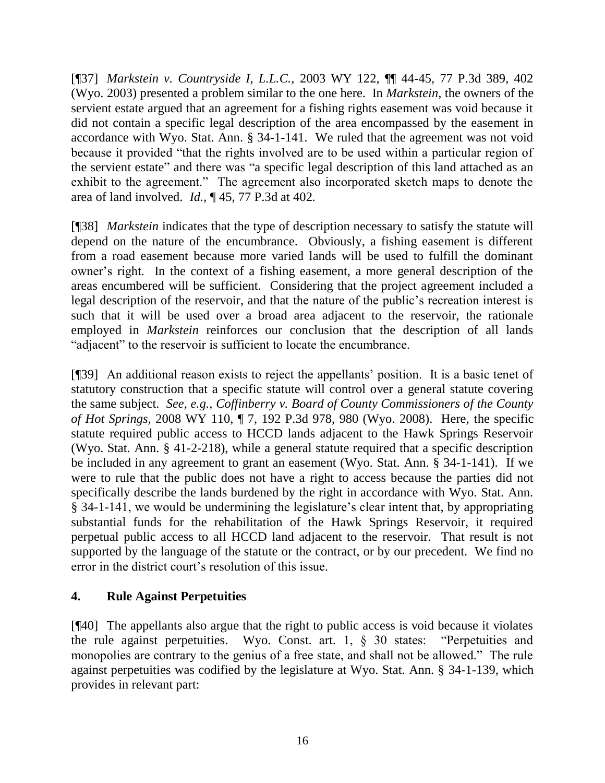[¶37] *Markstein v. Countryside I, L.L.C.,* 2003 WY 122, ¶¶ 44-45, 77 P.3d 389, 402 (Wyo. 2003) presented a problem similar to the one here. In *Markstein*, the owners of the servient estate argued that an agreement for a fishing rights easement was void because it did not contain a specific legal description of the area encompassed by the easement in accordance with Wyo. Stat. Ann. § 34-1-141. We ruled that the agreement was not void because it provided "that the rights involved are to be used within a particular region of the servient estate" and there was "a specific legal description of this land attached as an exhibit to the agreement." The agreement also incorporated sketch maps to denote the area of land involved. *Id.,* ¶ 45, 77 P.3d at 402.

[¶38] *Markstein* indicates that the type of description necessary to satisfy the statute will depend on the nature of the encumbrance. Obviously, a fishing easement is different from a road easement because more varied lands will be used to fulfill the dominant owner's right. In the context of a fishing easement, a more general description of the areas encumbered will be sufficient. Considering that the project agreement included a legal description of the reservoir, and that the nature of the public's recreation interest is such that it will be used over a broad area adjacent to the reservoir, the rationale employed in *Markstein* reinforces our conclusion that the description of all lands "adjacent" to the reservoir is sufficient to locate the encumbrance.

[¶39] An additional reason exists to reject the appellants' position. It is a basic tenet of statutory construction that a specific statute will control over a general statute covering the same subject. *See, e.g.*, *Coffinberry v. Board of County Commissioners of the County of Hot Springs,* 2008 WY 110, ¶ 7, 192 P.3d 978, 980 (Wyo. 2008). Here, the specific statute required public access to HCCD lands adjacent to the Hawk Springs Reservoir (Wyo. Stat. Ann. § 41-2-218), while a general statute required that a specific description be included in any agreement to grant an easement (Wyo. Stat. Ann. § 34-1-141). If we were to rule that the public does not have a right to access because the parties did not specifically describe the lands burdened by the right in accordance with Wyo. Stat. Ann. § 34-1-141, we would be undermining the legislature's clear intent that, by appropriating substantial funds for the rehabilitation of the Hawk Springs Reservoir, it required perpetual public access to all HCCD land adjacent to the reservoir. That result is not supported by the language of the statute or the contract, or by our precedent. We find no error in the district court's resolution of this issue.

## **4. Rule Against Perpetuities**

[¶40] The appellants also argue that the right to public access is void because it violates the rule against perpetuities. Wyo. Const. art. 1, § 30 states: "Perpetuities and monopolies are contrary to the genius of a free state, and shall not be allowed." The rule against perpetuities was codified by the legislature at Wyo. Stat. Ann. § 34-1-139, which provides in relevant part: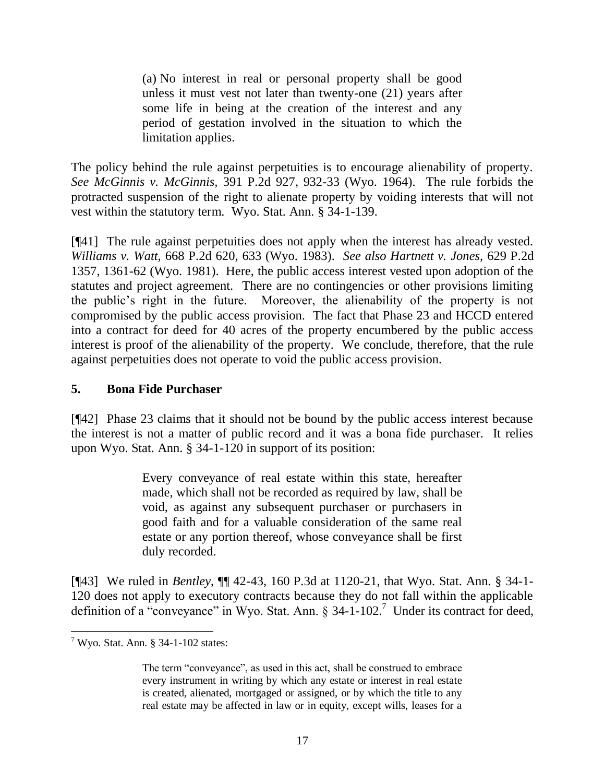(a) No interest in real or personal property shall be good unless it must vest not later than twenty-one (21) years after some life in being at the creation of the interest and any period of gestation involved in the situation to which the limitation applies.

The policy behind the rule against perpetuities is to encourage alienability of property. *See McGinnis v. McGinnis,* 391 P.2d 927, 932-33 (Wyo. 1964). The rule forbids the protracted suspension of the right to alienate property by voiding interests that will not vest within the statutory term. Wyo. Stat. Ann. § 34-1-139.

[¶41] The rule against perpetuities does not apply when the interest has already vested. *Williams v. Watt,* 668 P.2d 620, 633 (Wyo. 1983). *See also Hartnett v. Jones,* 629 P.2d 1357, 1361-62 (Wyo. 1981). Here, the public access interest vested upon adoption of the statutes and project agreement. There are no contingencies or other provisions limiting the public's right in the future. Moreover, the alienability of the property is not compromised by the public access provision. The fact that Phase 23 and HCCD entered into a contract for deed for 40 acres of the property encumbered by the public access interest is proof of the alienability of the property. We conclude, therefore, that the rule against perpetuities does not operate to void the public access provision.

## **5. Bona Fide Purchaser**

[¶42] Phase 23 claims that it should not be bound by the public access interest because the interest is not a matter of public record and it was a bona fide purchaser. It relies upon Wyo. Stat. Ann. § 34-1-120 in support of its position:

> Every conveyance of real estate within this state, hereafter made, which shall not be recorded as required by law, shall be void, as against any subsequent purchaser or purchasers in good faith and for a valuable consideration of the same real estate or any portion thereof, whose conveyance shall be first duly recorded.

[¶43] We ruled in *Bentley*, ¶¶ 42-43, 160 P.3d at 1120-21, that Wyo. Stat. Ann. § 34-1- 120 does not apply to executory contracts because they do not fall within the applicable definition of a "conveyance" in Wyo. Stat. Ann.  $\S 34$ -1-102.<sup>7</sup> Under its contract for deed,

 $7$  Wyo. Stat. Ann. § 34-1-102 states:

The term "conveyance", as used in this act, shall be construed to embrace every instrument in writing by which any estate or interest in real estate is created, alienated, mortgaged or assigned, or by which the title to any real estate may be affected in law or in equity, except wills, leases for a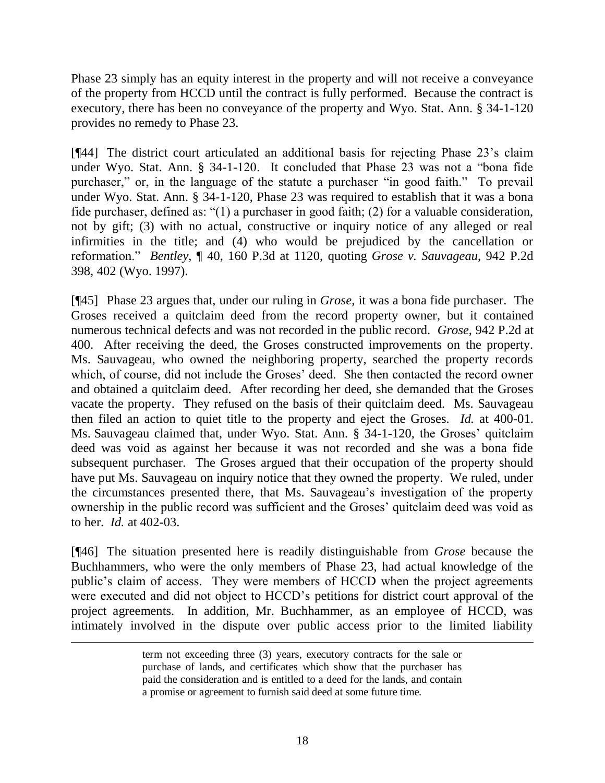Phase 23 simply has an equity interest in the property and will not receive a conveyance of the property from HCCD until the contract is fully performed. Because the contract is executory, there has been no conveyance of the property and Wyo. Stat. Ann. § 34-1-120 provides no remedy to Phase 23.

[¶44] The district court articulated an additional basis for rejecting Phase 23's claim under Wyo. Stat. Ann. § 34-1-120. It concluded that Phase 23 was not a "bona fide purchaser," or, in the language of the statute a purchaser "in good faith." To prevail under Wyo. Stat. Ann. § 34-1-120, Phase 23 was required to establish that it was a bona fide purchaser, defined as: "(1) a purchaser in good faith; (2) for a valuable consideration, not by gift; (3) with no actual, constructive or inquiry notice of any alleged or real infirmities in the title; and (4) who would be prejudiced by the cancellation or reformation." *Bentley*, ¶ 40, 160 P.3d at 1120, quoting *Grose v. Sauvageau,* 942 P.2d 398, 402 (Wyo. 1997).

[¶45] Phase 23 argues that, under our ruling in *Grose,* it was a bona fide purchaser. The Groses received a quitclaim deed from the record property owner, but it contained numerous technical defects and was not recorded in the public record. *Grose,* 942 P.2d at 400. After receiving the deed, the Groses constructed improvements on the property. Ms. Sauvageau, who owned the neighboring property, searched the property records which, of course, did not include the Groses' deed. She then contacted the record owner and obtained a quitclaim deed. After recording her deed, she demanded that the Groses vacate the property. They refused on the basis of their quitclaim deed. Ms. Sauvageau then filed an action to quiet title to the property and eject the Groses. *Id.* at 400-01. Ms. Sauvageau claimed that, under Wyo. Stat. Ann. § 34-1-120, the Groses' quitclaim deed was void as against her because it was not recorded and she was a bona fide subsequent purchaser. The Groses argued that their occupation of the property should have put Ms. Sauvageau on inquiry notice that they owned the property. We ruled, under the circumstances presented there, that Ms. Sauvageau's investigation of the property ownership in the public record was sufficient and the Groses' quitclaim deed was void as to her. *Id.* at 402-03.

[¶46] The situation presented here is readily distinguishable from *Grose* because the Buchhammers, who were the only members of Phase 23, had actual knowledge of the public's claim of access. They were members of HCCD when the project agreements were executed and did not object to HCCD's petitions for district court approval of the project agreements. In addition, Mr. Buchhammer, as an employee of HCCD, was intimately involved in the dispute over public access prior to the limited liability

term not exceeding three (3) years, executory contracts for the sale or purchase of lands, and certificates which show that the purchaser has paid the consideration and is entitled to a deed for the lands, and contain a promise or agreement to furnish said deed at some future time.